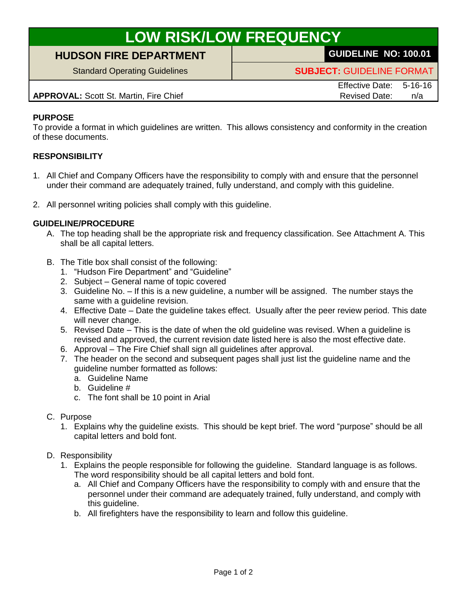# **LOW RISK/LOW FREQUENCY**

## **HUDSON FIRE DEPARTMENT GUIDELINE NO: 100.01**

Standard Operating Guidelines **SUBJECT:** GUIDELINE FORMAT

**APPROVAL:** Scott St. Martin, Fire Chief Revised Date: n/a

Effective Date: 5-16-16

### **PURPOSE**

To provide a format in which guidelines are written. This allows consistency and conformity in the creation of these documents.

### **RESPONSIBILITY**

- 1. All Chief and Company Officers have the responsibility to comply with and ensure that the personnel under their command are adequately trained, fully understand, and comply with this guideline.
- 2. All personnel writing policies shall comply with this guideline.

#### **GUIDELINE/PROCEDURE**

- A. The top heading shall be the appropriate risk and frequency classification. See Attachment A. This shall be all capital letters.
- B. The Title box shall consist of the following:
	- 1. "Hudson Fire Department" and "Guideline"
	- 2. Subject General name of topic covered
	- 3. Guideline No. If this is a new guideline, a number will be assigned. The number stays the same with a guideline revision.
	- 4. Effective Date Date the guideline takes effect. Usually after the peer review period. This date will never change.
	- 5. Revised Date This is the date of when the old guideline was revised. When a guideline is revised and approved, the current revision date listed here is also the most effective date.
	- 6. Approval The Fire Chief shall sign all guidelines after approval.
	- 7. The header on the second and subsequent pages shall just list the guideline name and the guideline number formatted as follows:
		- a. Guideline Name
		- b. Guideline #
		- c. The font shall be 10 point in Arial
- C. Purpose
	- 1. Explains why the guideline exists. This should be kept brief. The word "purpose" should be all capital letters and bold font.
- D. Responsibility
	- 1. Explains the people responsible for following the guideline. Standard language is as follows. The word responsibility should be all capital letters and bold font.
		- a. All Chief and Company Officers have the responsibility to comply with and ensure that the personnel under their command are adequately trained, fully understand, and comply with this guideline.
		- b. All firefighters have the responsibility to learn and follow this guideline.